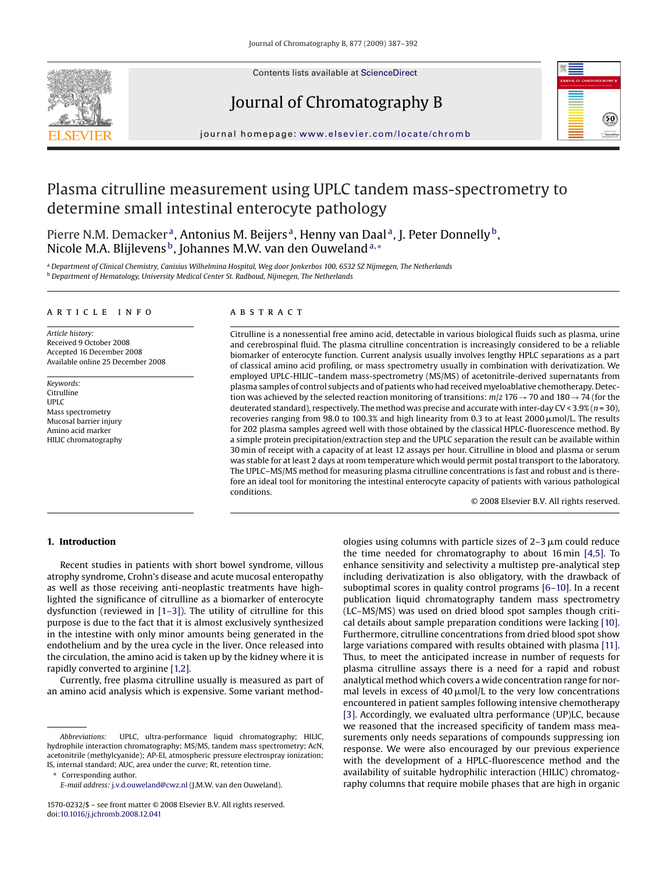

Contents lists available at [ScienceDirect](http://www.sciencedirect.com/science/journal/15700232)

# Journal of Chromatography B



journal homepage: [www.elsevier.com/locate/chromb](http://www.elsevier.com/locate/chromb)

# Plasma citrulline measurement using UPLC tandem mass-spectrometry to determine small intestinal enterocyte pathology

Pierre N.M. Demacker<sup>a</sup>, Antonius M. Beijers<sup>a</sup>, Henny van Daal<sup>a</sup>, J. Peter Donnelly<sup>b</sup>, Nicole M.A. Blijlevens<sup>b</sup>, Johannes M.W. van den Ouweland<sup>a,∗</sup>

<sup>a</sup> *Department of Clinical Chemistry, Canisius Wilhelmina Hospital, Weg door Jonkerbos 100, 6532 SZ Nijmegen, The Netherlands* <sup>b</sup> *Department of Hematology, University Medical Center St. Radboud, Nijmegen, The Netherlands*

## article info

*Article history:* Received 9 October 2008 Accepted 16 December 2008 Available online 25 December 2008

*Keywords:* Citrulline UPLC Mass spectrometry Mucosal barrier injury Amino acid marker HILIC chromatography

## ABSTRACT

Citrulline is a nonessential free amino acid, detectable in various biological fluids such as plasma, urine and cerebrospinal fluid. The plasma citrulline concentration is increasingly considered to be a reliable biomarker of enterocyte function. Current analysis usually involves lengthy HPLC separations as a part of classical amino acid profiling, or mass spectrometry usually in combination with derivatization. We employed UPLC-HILIC–tandem mass-spectrometry (MS/MS) of acetonitrile-derived supernatants from plasma samples of control subjects and of patients who had received myeloablative chemotherapy. Detection was achieved by the selected reaction monitoring of transitions: *m*/*z* 176→70 and 180→74 (for the deuterated standard), respectively. The method was precise and accurate with inter-day CV < 3.9% (*n* = 30), recoveries ranging from 98.0 to 100.3% and high linearity from 0.3 to at least 2000  $\mu$ mol/L. The results for 202 plasma samples agreed well with those obtained by the classical HPLC-fluorescence method. By a simple protein precipitation/extraction step and the UPLC separation the result can be available within 30 min of receipt with a capacity of at least 12 assays per hour. Citrulline in blood and plasma or serum was stable for at least 2 days at room temperature which would permit postal transport to the laboratory. The UPLC–MS/MS method for measuring plasma citrulline concentrations is fast and robust and is therefore an ideal tool for monitoring the intestinal enterocyte capacity of patients with various pathological conditions.

© 2008 Elsevier B.V. All rights reserved.

# **1. Introduction**

Recent studies in patients with short bowel syndrome, villous atrophy syndrome, Crohn's disease and acute mucosal enteropathy as well as those receiving anti-neoplastic treatments have highlighted the significance of citrulline as a biomarker of enterocyte dysfunction (reviewed in [\[1–3\]\).](#page-4-0) The utility of citrulline for this purpose is due to the fact that it is almost exclusively synthesized in the intestine with only minor amounts being generated in the endothelium and by the urea cycle in the liver. Once released into the circulation, the amino acid is taken up by the kidney where it is rapidly converted to arginine [\[1,2\].](#page-4-0)

Currently, free plasma citrulline usually is measured as part of an amino acid analysis which is expensive. Some variant method-

Corresponding author.

*E-mail address:* [j.v.d.ouweland@cwz.nl](mailto:j.v.d.ouweland@cwz.nl) (J.M.W. van den Ouweland).

ologies using columns with particle sizes of 2–3  $\mu$ m could reduce the time needed for chromatography to about 16 min [\[4,5\].](#page-4-0) To enhance sensitivity and selectivity a multistep pre-analytical step including derivatization is also obligatory, with the drawback of suboptimal scores in quality control programs [\[6–10\]. I](#page-4-0)n a recent publication liquid chromatography tandem mass spectrometry (LC–MS/MS) was used on dried blood spot samples though critical details about sample preparation conditions were lacking [\[10\].](#page-4-0) Furthermore, citrulline concentrations from dried blood spot show large variations compared with results obtained with plasma [\[11\].](#page-4-0) Thus, to meet the anticipated increase in number of requests for plasma citrulline assays there is a need for a rapid and robust analytical method which covers a wide concentration range for normal levels in excess of 40  $\mu$ mol/L to the very low concentrations encountered in patient samples following intensive chemotherapy [\[3\]. A](#page-4-0)ccordingly, we evaluated ultra performance (UP)LC, because we reasoned that the increased specificity of tandem mass measurements only needs separations of compounds suppressing ion response. We were also encouraged by our previous experience with the development of a HPLC-fluorescence method and the availability of suitable hydrophilic interaction (HILIC) chromatography columns that require mobile phases that are high in organic

*Abbreviations:* UPLC, ultra-performance liquid chromatography; HILIC, hydrophile interaction chromatography; MS/MS, tandem mass spectrometry; AcN, acetonitrile (methylcyanide); AP-EI, atmospheric pressure electrospray ionization; IS, internal standard; AUC, area under the curve; Rt, retention time.

<sup>1570-0232/\$ –</sup> see front matter © 2008 Elsevier B.V. All rights reserved. doi:[10.1016/j.jchromb.2008.12.041](dx.doi.org/10.1016/j.jchromb.2008.12.041)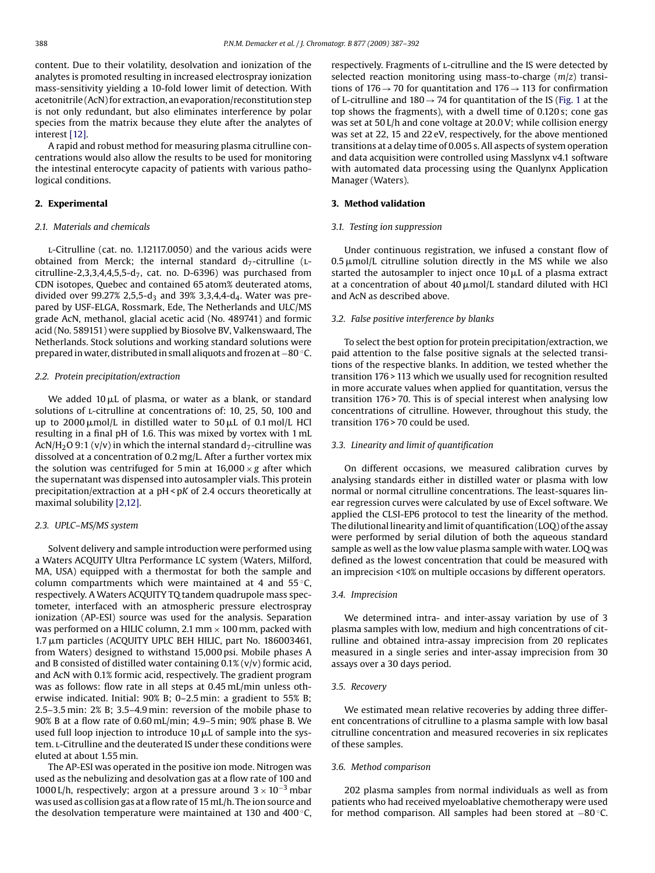content. Due to their volatility, desolvation and ionization of the analytes is promoted resulting in increased electrospray ionization mass-sensitivity yielding a 10-fold lower limit of detection. With acetonitrile (AcN) for extraction, an evaporation/reconstitution step is not only redundant, but also eliminates interference by polar species from the matrix because they elute after the analytes of interest [\[12\].](#page-4-0)

A rapid and robust method for measuring plasma citrulline concentrations would also allow the results to be used for monitoring the intestinal enterocyte capacity of patients with various pathological conditions.

# **2. Experimental**

## *2.1. Materials and chemicals*

l-Citrulline (cat. no. 1.12117.0050) and the various acids were obtained from Merck; the internal standard  $d_7$ -citrulline (Lcitrulline-2,3,3,4,4,5,5-d<sub>7</sub>, cat. no. D-6396) was purchased from CDN isotopes, Quebec and contained 65 atom% deuterated atoms, divided over 99.27% 2,5,5-d<sub>3</sub> and 39% 3,3,4,4-d<sub>4</sub>. Water was prepared by USF-ELGA, Rossmark, Ede, The Netherlands and ULC/MS grade AcN, methanol, glacial acetic acid (No. 489741) and formic acid (No. 589151) were supplied by Biosolve BV, Valkenswaard, The Netherlands. Stock solutions and working standard solutions were prepared in water, distributed in small aliquots and frozen at−80 ◦C.

# *2.2. Protein precipitation/extraction*

We added 10  $\mu$ L of plasma, or water as a blank, or standard solutions of *L*-citrulline at concentrations of: 10, 25, 50, 100 and up to 2000µmol/L in distilled water to 50µL of 0.1 mol/L HCl resulting in a final pH of 1.6. This was mixed by vortex with 1 mL AcN/H<sub>2</sub>O 9:1 (v/v) in which the internal standard d<sub>7</sub>-citrulline was dissolved at a concentration of 0.2 mg/L. After a further vortex mix the solution was centrifuged for 5 min at  $16,000 \times g$  after which the supernatant was dispensed into autosampler vials. This protein precipitation/extraction at a pH < p*K* of 2.4 occurs theoretically at maximal solubility [\[2,12\].](#page-4-0)

# *2.3. UPLC–MS/MS system*

Solvent delivery and sample introduction were performed using a Waters ACQUITY Ultra Performance LC system (Waters, Milford, MA, USA) equipped with a thermostat for both the sample and column compartments which were maintained at 4 and  $55^{\circ}$ C, respectively. A Waters ACQUITY TQ tandem quadrupole mass spectometer, interfaced with an atmospheric pressure electrospray ionization (AP-ESI) source was used for the analysis. Separation was performed on a HILIC column, 2.1 mm  $\times$  100 mm, packed with 1.7 μm particles (ACQUITY UPLC BEH HILIC, part No. 186003461, from Waters) designed to withstand 15,000 psi. Mobile phases A and B consisted of distilled water containing  $0.1\%$  (v/v) formic acid, and AcN with 0.1% formic acid, respectively. The gradient program was as follows: flow rate in all steps at 0.45 mL/min unless otherwise indicated. Initial: 90% B; 0–2.5 min: a gradient to 55% B; 2.5–3.5 min: 2% B; 3.5–4.9 min: reversion of the mobile phase to 90% B at a flow rate of 0.60 mL/min; 4.9–5 min; 90% phase B. We used full loop injection to introduce 10  $\mu$ L of sample into the system. L-Citrulline and the deuterated IS under these conditions were eluted at about 1.55 min.

The AP-ESI was operated in the positive ion mode. Nitrogen was used as the nebulizing and desolvation gas at a flow rate of 100 and 1000 L/h, respectively; argon at a pressure around  $3 \times 10^{-3}$  mbar was used as collision gas at a flow rate of 15 mL/h. The ion source and the desolvation temperature were maintained at 130 and 400 $\degree$ C, respectively. Fragments of l-citrulline and the IS were detected by selected reaction monitoring using mass-to-charge (*m*/*z*) transitions of 176  $\rightarrow$  70 for quantitation and 176  $\rightarrow$  113 for confirmation of L-citrulline and  $180 \rightarrow 74$  for quantitation of the IS [\(Fig. 1](#page-2-0) at the top shows the fragments), with a dwell time of 0.120 s; cone gas was set at 50 L/h and cone voltage at 20.0 V; while collision energy was set at 22, 15 and 22 eV, respectively, for the above mentioned transitions at a delay time of 0.005 s. All aspects of system operation and data acquisition were controlled using Masslynx v4.1 software with automated data processing using the Quanlynx Application Manager (Waters).

# **3. Method validation**

# *3.1. Testing ion suppression*

Under continuous registration, we infused a constant flow of  $0.5 \mu$ mol/L citrulline solution directly in the MS while we also started the autosampler to inject once 10  $\mu$ L of a plasma extract at a concentration of about 40  $\mu$ mol/L standard diluted with HCl and AcN as described above.

### *3.2. False positive interference by blanks*

To select the best option for protein precipitation/extraction, we paid attention to the false positive signals at the selected transitions of the respective blanks. In addition, we tested whether the transition 176 > 113 which we usually used for recognition resulted in more accurate values when applied for quantitation, versus the transition 176 > 70. This is of special interest when analysing low concentrations of citrulline. However, throughout this study, the transition 176 > 70 could be used.

## *3.3. Linearity and limit of quantification*

On different occasions, we measured calibration curves by analysing standards either in distilled water or plasma with low normal or normal citrulline concentrations. The least-squares linear regression curves were calculated by use of Excel software. We applied the CLSI-EP6 protocol to test the linearity of the method. The dilutional linearity and limit of quantification (LOQ) of the assay were performed by serial dilution of both the aqueous standard sample as well as the low value plasma sample with water. LOQ was defined as the lowest concentration that could be measured with an imprecision <10% on multiple occasions by different operators.

### *3.4. Imprecision*

We determined intra- and inter-assay variation by use of 3 plasma samples with low, medium and high concentrations of citrulline and obtained intra-assay imprecision from 20 replicates measured in a single series and inter-assay imprecision from 30 assays over a 30 days period.

## *3.5. Recovery*

We estimated mean relative recoveries by adding three different concentrations of citrulline to a plasma sample with low basal citrulline concentration and measured recoveries in six replicates of these samples.

## *3.6. Method comparison*

202 plasma samples from normal individuals as well as from patients who had received myeloablative chemotherapy were used for method comparison. All samples had been stored at −80 ◦C.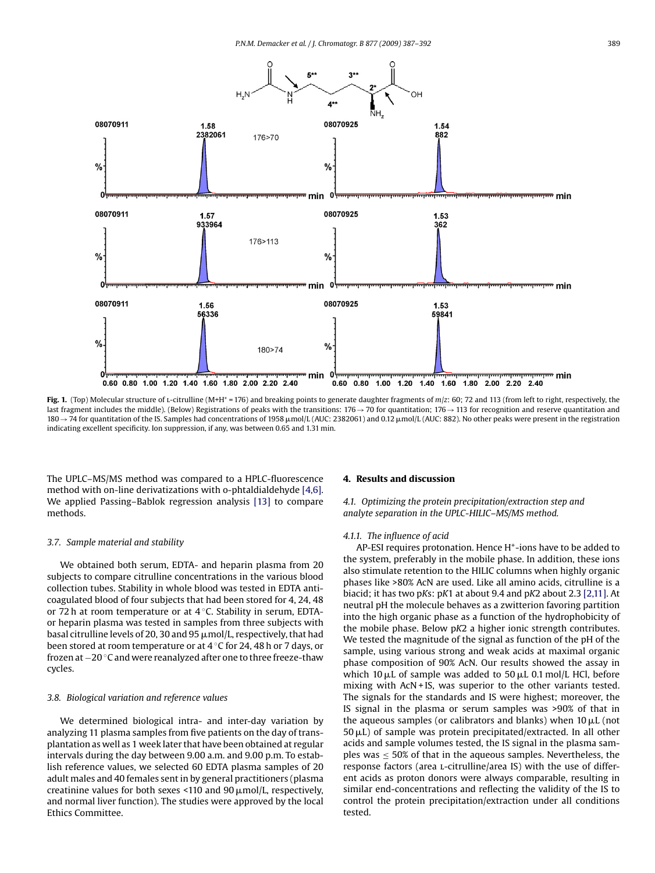<span id="page-2-0"></span>

Fig. 1. (Top) Molecular structure of *L*-citrulline (M+H<sup>+</sup> = 176) and breaking points to generate daughter fragments of *m*/*z*: 60; 72 and 113 (from left to right, respectively, the last fragment includes the middle). (Below) Registrations of peaks with the transitions: 176→70 for quantitation; 176→113 for recognition and reserve quantitation and 180 → 74 for quantitation of the IS. Samples had concentrations of 1958 µmol/L (AUC: 2382061) and 0.12 µmol/L (AUC: 882). No other peaks were present in the registration indicating excellent specificity. Ion suppression, if any, was between 0.65 and 1.31 min.

The UPLC–MS/MS method was compared to a HPLC-fluorescence method with on-line derivatizations with o-phtaldialdehyde [\[4,6\].](#page-4-0) We applied Passing–Bablok regression analysis [\[13\]](#page-4-0) to compare methods.

## *3.7. Sample material and stability*

We obtained both serum, EDTA- and heparin plasma from 20 subjects to compare citrulline concentrations in the various blood collection tubes. Stability in whole blood was tested in EDTA anticoagulated blood of four subjects that had been stored for 4, 24, 48 or 72 h at room temperature or at 4 ◦C. Stability in serum, EDTAor heparin plasma was tested in samples from three subjects with basal citrulline levels of 20, 30 and 95  $\mu$ mol/L, respectively, that had been stored at room temperature or at 4 ◦C for 24, 48 h or 7 days, or frozen at −20 ◦C and were reanalyzed after one to three freeze-thaw cycles.

## *3.8. Biological variation and reference values*

We determined biological intra- and inter-day variation by analyzing 11 plasma samples from five patients on the day of transplantation as well as 1 week later that have been obtained at regular intervals during the day between 9.00 a.m. and 9.00 p.m. To establish reference values, we selected 60 EDTA plasma samples of 20 adult males and 40 females sent in by general practitioners (plasma creatinine values for both sexes <110 and 90  $\mu$ mol/L, respectively, and normal liver function). The studies were approved by the local Ethics Committee.

#### **4. Results and discussion**

*4.1. Optimizing the protein precipitation/extraction step and analyte separation in the UPLC-HILIC–MS/MS method.*

## *4.1.1. The influence of acid*

AP-ESI requires protonation. Hence H<sup>+</sup>-ions have to be added to the system, preferably in the mobile phase. In addition, these ions also stimulate retention to the HILIC columns when highly organic phases like >80% AcN are used. Like all amino acids, citrulline is a biacid; it has two p*K*s: p*K*1 at about 9.4 and p*K*2 about 2.3 [\[2,11\]. A](#page-4-0)t neutral pH the molecule behaves as a zwitterion favoring partition into the high organic phase as a function of the hydrophobicity of the mobile phase. Below p*K*2 a higher ionic strength contributes. We tested the magnitude of the signal as function of the pH of the sample, using various strong and weak acids at maximal organic phase composition of 90% AcN. Our results showed the assay in which 10  $\mu$ L of sample was added to 50  $\mu$ L 0.1 mol/L HCl, before mixing with AcN + IS, was superior to the other variants tested. The signals for the standards and IS were highest; moreover, the IS signal in the plasma or serum samples was >90% of that in the aqueous samples (or calibrators and blanks) when  $10 \mu L$  (not  $50 \mu L$ ) of sample was protein precipitated/extracted. In all other acids and sample volumes tested, the IS signal in the plasma samples was  $\leq 50\%$  of that in the aqueous samples. Nevertheless, the response factors (area L-citrulline/area IS) with the use of different acids as proton donors were always comparable, resulting in similar end-concentrations and reflecting the validity of the IS to control the protein precipitation/extraction under all conditions tested.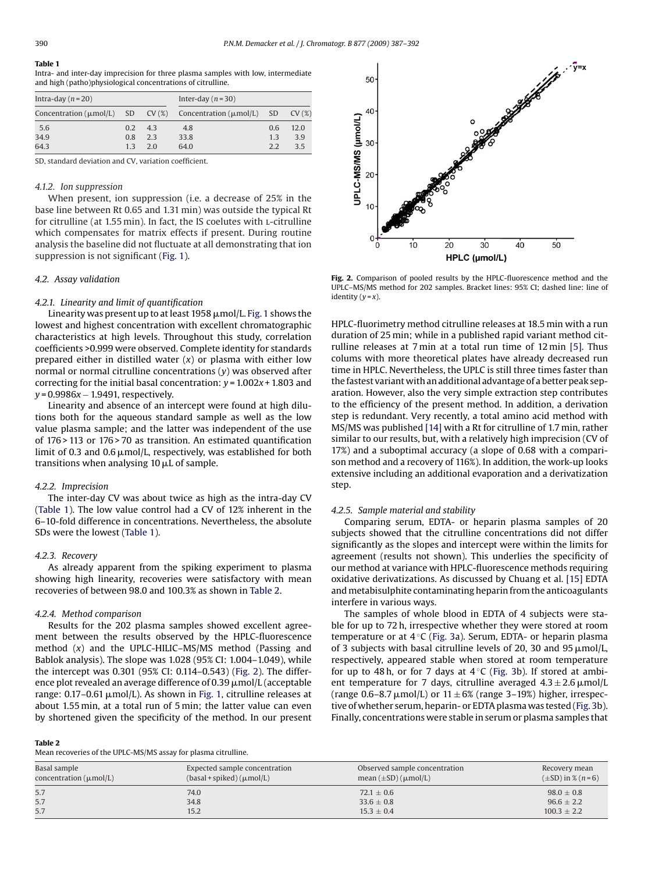## **Table 1**

Intra- and inter-day imprecision for three plasma samples with low, intermediate and high (patho)physiological concentrations of citrulline.

| Intra-day $(n=20)$ |               |     | Inter-day $(n=30)$                                                     |     |       |
|--------------------|---------------|-----|------------------------------------------------------------------------|-----|-------|
|                    |               |     | Concentration ( $\mu$ mol/L) SD CV (%) Concentration ( $\mu$ mol/L) SD |     | CV(%) |
| 5.6                | $0.2^{\circ}$ | 4.3 | 4.8                                                                    | 0.6 | 12.0  |
| 34.9               | 0.8           | 2.3 | 33.8                                                                   | 1.3 | 3.9   |
| 64.3               | 13            | 2.0 | 64.0                                                                   | 2.2 | 3.5   |

SD, standard deviation and CV, variation coefficient.

## *4.1.2. Ion suppression*

When present, ion suppression (i.e. a decrease of 25% in the base line between Rt 0.65 and 1.31 min) was outside the typical Rt for citrulline (at 1.55 min). In fact, the IS coelutes with l-citrulline which compensates for matrix effects if present. During routine analysis the baseline did not fluctuate at all demonstrating that ion suppression is not significant ([Fig. 1\).](#page-2-0)

## *4.2. Assay validation*

## *4.2.1. Linearity and limit of quantification*

Linearity was present up to at least 1958  $\mu$ mol/L. [Fig. 1](#page-2-0) shows the lowest and highest concentration with excellent chromatographic characteristics at high levels. Throughout this study, correlation coefficients >0.999 were observed. Complete identity for standards prepared either in distilled water (*x*) or plasma with either low normal or normal citrulline concentrations (*y*) was observed after correcting for the initial basal concentration: *y* = 1.002*x* + 1.803 and *y* = 0.9986*x* − 1.9491, respectively.

Linearity and absence of an intercept were found at high dilutions both for the aqueous standard sample as well as the low value plasma sample; and the latter was independent of the use of 176 > 113 or 176 > 70 as transition. An estimated quantification limit of 0.3 and 0.6  $\mu$ mol/L, respectively, was established for both transitions when analysing 10 µL of sample.

## *4.2.2. Imprecision*

The inter-day CV was about twice as high as the intra-day CV (Table 1). The low value control had a CV of 12% inherent in the 6–10-fold difference in concentrations. Nevertheless, the absolute SDs were the lowest (Table 1).

# *4.2.3. Recovery*

As already apparent from the spiking experiment to plasma showing high linearity, recoveries were satisfactory with mean recoveries of between 98.0 and 100.3% as shown in Table 2.

## *4.2.4. Method comparison*

Results for the 202 plasma samples showed excellent agreement between the results observed by the HPLC-fluorescence method (*x*) and the UPLC-HILIC–MS/MS method (Passing and Bablok analysis). The slope was 1.028 (95% CI: 1.004–1.049), while the intercept was 0.301 (95% CI: 0.114–0.543) (Fig. 2). The difference plot revealed an average difference of 0.39  $\mu$ mol/L (acceptable range: 0.17–0.61 µmol/L). As shown in [Fig. 1, c](#page-2-0)itrulline releases at about 1.55 min, at a total run of 5 min; the latter value can even by shortened given the specificity of the method. In our present

## **Table 2**

Mean recoveries of the UPLC-MS/MS assay for plasma citrulline.



**Fig. 2.** Comparison of pooled results by the HPLC-fluorescence method and the UPLC–MS/MS method for 202 samples. Bracket lines: 95% CI; dashed line: line of identity  $(y = x)$ .

HPLC-fluorimetry method citrulline releases at 18.5 min with a run duration of 25 min; while in a published rapid variant method citrulline releases at 7 min at a total run time of 12 min [\[5\].](#page-4-0) Thus colums with more theoretical plates have already decreased run time in HPLC. Nevertheless, the UPLC is still three times faster than the fastest variant with an additional advantage of a better peak separation. However, also the very simple extraction step contributes to the efficiency of the present method. In addition, a derivation step is redundant. Very recently, a total amino acid method with MS/MS was published [\[14\]](#page-5-0) with a Rt for citrulline of 1.7 min, rather similar to our results, but, with a relatively high imprecision (CV of 17%) and a suboptimal accuracy (a slope of 0.68 with a comparison method and a recovery of 116%). In addition, the work-up looks extensive including an additional evaporation and a derivatization step.

## *4.2.5. Sample material and stability*

Comparing serum, EDTA- or heparin plasma samples of 20 subjects showed that the citrulline concentrations did not differ significantly as the slopes and intercept were within the limits for agreement (results not shown). This underlies the specificity of our method at variance with HPLC-fluorescence methods requiring oxidative derivatizations. As discussed by Chuang et al. [\[15\]](#page-5-0) EDTA and metabisulphite contaminating heparin from the anticoagulants interfere in various ways.

The samples of whole blood in EDTA of 4 subjects were stable for up to 72 h, irrespective whether they were stored at room temperature or at 4 °C [\(Fig. 3a](#page-4-0)). Serum, EDTA- or heparin plasma of 3 subjects with basal citrulline levels of 20, 30 and 95  $\mu$ mol/L, respectively, appeared stable when stored at room temperature for up to 48 h, or for 7 days at  $4^{\circ}$ C ([Fig. 3b](#page-4-0)). If stored at ambient temperature for 7 days, citrulline averaged  $4.3 \pm 2.6\,\rm \mu m$ ol/L (range 0.6–8.7  $\mu$ mol/L) or 11  $\pm$  6% (range 3–19%) higher, irrespective of whether serum, heparin- or EDTA plasma was tested [\(Fig. 3b\)](#page-4-0). Finally, concentrations were stable in serum or plasma samples that

| Basal sample<br>concentration $(\mu mol/L)$ | Expected sample concentration<br>$(basal + spiked)$ ( $\mu$ mol/L) | Observed sample concentration<br>mean $(\pm SD)$ ( $\mu$ mol/L) | Recovery mean<br>$(\pm SD)$ in % ( <i>n</i> =6) |
|---------------------------------------------|--------------------------------------------------------------------|-----------------------------------------------------------------|-------------------------------------------------|
| 5.7                                         | 74.0                                                               | $72.1 \pm 0.6$                                                  | $98.0 \pm 0.8$                                  |
| 5.7                                         | 34.8                                                               | $33.6 \pm 0.8$                                                  | $96.6 \pm 2.2$                                  |
| 5.7                                         | 15.2                                                               | $15.3 \pm 0.4$                                                  | $100.3 \pm 2.2$                                 |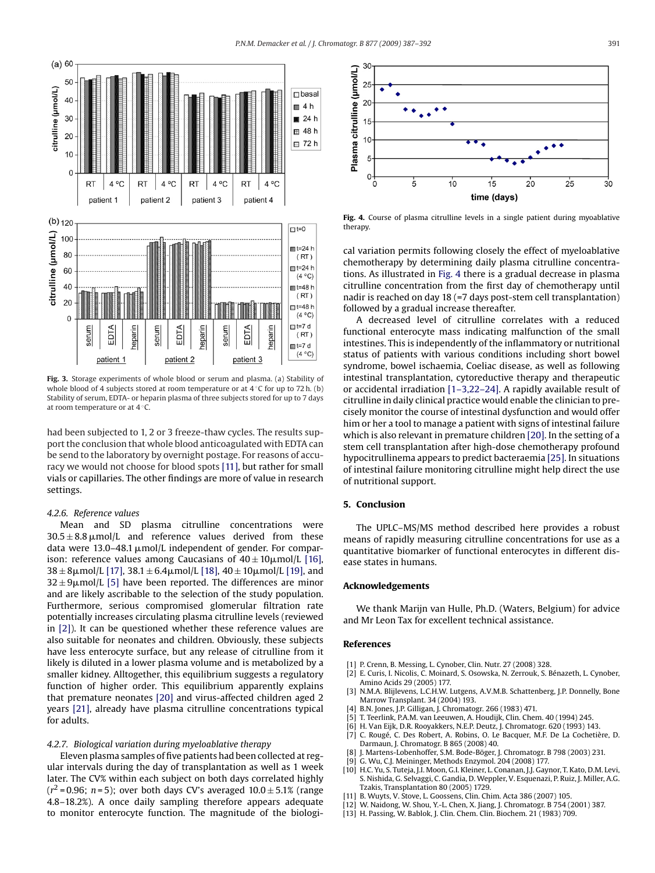<span id="page-4-0"></span>

**Fig. 3.** Storage experiments of whole blood or serum and plasma. (a) Stability of whole blood of 4 subjects stored at room temperature or at 4 ℃ for up to 72 h. (b) Stability of serum, EDTA- or heparin plasma of three subjects stored for up to 7 days at room temperature or at 4 ◦C.

had been subjected to 1, 2 or 3 freeze-thaw cycles. The results support the conclusion that whole blood anticoagulated with EDTA can be send to the laboratory by overnight postage. For reasons of accuracy we would not choose for blood spots [11], but rather for small vials or capillaries. The other findings are more of value in research settings.

# *4.2.6. Reference values*

Mean and SD plasma citrulline concentrations were  $30.5 \pm 8.8$   $\mu$ mol/L and reference values derived from these data were 13.0–48.1  $\mu$ mol/L independent of gender. For comparison: reference values among Caucasians of  $40\pm10\mu$ mol/L [\[16\],](#page-5-0)  $38 \pm 8 \mu$ mol/L [17],  $38.1 \pm 6.4 \mu$ mol/L [18],  $40 \pm 10 \mu$ mol/L [\[19\], a](#page-5-0)nd  $32 \pm 9 \mu$ mol/L [5] have been reported. The differences are minor and are likely ascribable to the selection of the study population. Furthermore, serious compromised glomerular filtration rate potentially increases circulating plasma citrulline levels (reviewed in [2]). It can be questioned whether these reference values are also suitable for neonates and children. Obviously, these subjects have less enterocyte surface, but any release of citrulline from it likely is diluted in a lower plasma volume and is metabolized by a smaller kidney. Alltogether, this equilibrium suggests a regulatory function of higher order. This equilibrium apparently explains that premature neonates [\[20\]](#page-5-0) and virus-affected children aged 2 years [\[21\],](#page-5-0) already have plasma citrulline concentrations typical for adults.

# *4.2.7. Biological variation during myeloablative therapy*

Eleven plasma samples of five patients had been collected at regular intervals during the day of transplantation as well as 1 week later. The CV% within each subject on both days correlated highly  $(r^2 = 0.96; n = 5)$ ; over both days CV's averaged  $10.0 \pm 5.1$ % (range 4.8–18.2%). A once daily sampling therefore appears adequate to monitor enterocyte function. The magnitude of the biologi-



**Fig. 4.** Course of plasma citrulline levels in a single patient during myoablative therapy

cal variation permits following closely the effect of myeloablative chemotherapy by determining daily plasma citrulline concentrations. As illustrated in Fig. 4 there is a gradual decrease in plasma citrulline concentration from the first day of chemotherapy until nadir is reached on day 18 (=7 days post-stem cell transplantation) followed by a gradual increase thereafter.

A decreased level of citrulline correlates with a reduced functional enterocyte mass indicating malfunction of the small intestines. This is independently of the inflammatory or nutritional status of patients with various conditions including short bowel syndrome, bowel ischaemia, Coeliac disease, as well as following intestinal transplantation, cytoreductive therapy and therapeutic or accidental irradiation [1–3,22–24]. A rapidly available result of citrulline in daily clinical practice would enable the clinician to precisely monitor the course of intestinal dysfunction and would offer him or her a tool to manage a patient with signs of intestinal failure which is also relevant in premature children [\[20\]. I](#page-5-0)n the setting of a stem cell transplantation after high-dose chemotherapy profound hypocitrullinema appears to predict bacteraemia [\[25\]. I](#page-5-0)n situations of intestinal failure monitoring citrulline might help direct the use of nutritional support.

# **5. Conclusion**

The UPLC–MS/MS method described here provides a robust means of rapidly measuring citrulline concentrations for use as a quantitative biomarker of functional enterocytes in different disease states in humans.

## **Acknowledgements**

We thank Marijn van Hulle, Ph.D. (Waters, Belgium) for advice and Mr Leon Tax for excellent technical assistance.

## **References**

- [1] P. Crenn, B. Messing, L. Cynober, Clin. Nutr. 27 (2008) 328.
- [2] E. Curis, I. Nicolis, C. Moinard, S. Osowska, N. Zerrouk, S. Bénazeth, L. Cynober, Amino Acids 29 (2005) 177.
- N.M.A. Blijlevens, L.C.H.W. Lutgens, A.V.M.B. Schattenberg, J.P. Donnelly, Bone Marrow Transplant. 34 (2004) 193.
- [4] B.N. Jones, J.P. Gilligan, J. Chromatogr. 266 (1983) 471.
- [5] T. Teerlink, P.A.M. van Leeuwen, A. Houdijk, Clin. Chem. 40 (1994) 245.
- [6] H. Van Eijk, D.R. Rooyakkers, N.E.P. Deutz, J. Chromatogr. 620 (1993) 143.
- [7] C. Rougé, C. Des Robert, A. Robins, O. Le Bacquer, M.F. De La Cochetière, D. Darmaun, J. Chromatogr. B 865 (2008) 40.
- J. Martens-Lobenhoffer, S.M. Bode-Böger, J. Chromatogr. B 798 (2003) 231.
- [9] G. Wu, C.J. Meininger, Methods Enzymol. 204 (2008) 177.
- [10] H.C. Yu, S. Tuteja, J.I. Moon, G.I. Kleiner, L. Conanan, J.J. Gaynor, T. Kato, D.M. Levi, S. Nishida, G. Selvaggi, C. Gandia, D. Weppler, V. Esquenazi, P. Ruiz, J. Miller, A.G. Tzakis, Transplantation 80 (2005) 1729.
- [11] B. Wuyts, V. Stove, L. Goossens, Clin. Chim. Acta 386 (2007) 105.
- [12] W. Naidong, W. Shou, Y.-L. Chen, X. Jiang, J. Chromatogr. B 754 (2001) 387.
- [13] H. Passing, W. Bablok, J. Clin. Chem. Clin. Biochem. 21 (1983) 709.